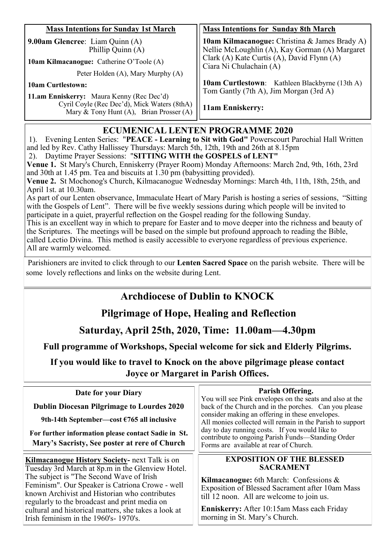| <b>Mass Intentions for Sunday 1st March</b>                                                 | <b>Mass Intentions for Sunday 8th March</b>                                                     |
|---------------------------------------------------------------------------------------------|-------------------------------------------------------------------------------------------------|
| 9.00am Glencree: Liam Quinn (A)<br>Phillip Quinn (A)                                        | 10am Kilmacanogue: Christina & James Brady A)<br>Nellie McLoughlin (A), Kay Gorman (A) Margaret |
| 10am Kilmacanogue: Catherine O'Toole (A)                                                    | Clark (A) Kate Curtis (A), David Flynn (A)<br>Ciara Ni Chulachain (A)                           |
| Peter Holden (A), Mary Murphy (A)                                                           |                                                                                                 |
| <b>10am Curtlestown:</b>                                                                    | <b>10am Curtlestown:</b> Kathleen Blackbyrne (13th A)<br>Tom Gantly (7th A), Jim Morgan (3rd A) |
| <b>11.am Enniskerry:</b> Maura Kenny (Rec Dec'd)                                            |                                                                                                 |
| Cyril Coyle (Rec Dec'd), Mick Waters (8thA)<br>Mary & Tony Hunt $(A)$ , Brian Prosser $(A)$ | 11am Enniskerry:                                                                                |

### **ECUMENICAL LENTEN PROGRAMME 2020**

1). Evening Lenten Series: "**PEACE - Learning to Sit with God"** Powerscourt Parochial Hall Written and led by Rev. Cathy Hallissey Thursdays: March 5th, 12th, 19th and 26th at 8.15pm

2). Daytime Prayer Sessions: "**SITTING WITH the GOSPELS of LENT"** 

**Venue 1.** St Mary's Church, Enniskerry (Prayer Room) Monday Afternoons: March 2nd, 9th, 16th, 23rd and 30th at 1.45 pm. Tea and biscuits at 1.30 pm (babysitting provided).

**Venue 2.** St Mochonog's Church, Kilmacanogue Wednesday Mornings: March 4th, 11th, 18th, 25th, and April 1st. at 10.30am.

As part of our Lenten observance, Immaculate Heart of Mary Parish is hosting a series of sessions, "Sitting with the Gospels of Lent". There will be five weekly sessions during which people will be invited to participate in a quiet, prayerful reflection on the Gospel reading for the following Sunday.

This is an excellent way in which to prepare for Easter and to move deeper into the richness and beauty of the Scriptures. The meetings will be based on the simple but profound approach to reading the Bible, called Lectio Divina. This method is easily accessible to everyone regardless of previous experience. All are warmly welcomed.

Parishioners are invited to click through to our **Lenten Sacred Space** on the parish website. There will be some lovely reflections and links on the website during Lent.

# **Archdiocese of Dublin to KNOCK**

# **Pilgrimage of Hope, Healing and Reflection**

**Saturday, April 25th, 2020, Time: 11.00am—4.30pm**

**Full programme of Workshops, Special welcome for sick and Elderly Pilgrims.**

**If you would like to travel to Knock on the above pilgrimage please contact Joyce or Margaret in Parish Offices.** 

| Date for your Diary<br><b>Dublin Diocesan Pilgrimage to Lourdes 2020</b><br>9th-14th September—cost $\epsilon$ 765 all inclusive<br>For further information please contact Sadie in St.<br>Mary's Sacristy, See poster at rere of Church                                                                                                                                                                    | Parish Offering.<br>You will see Pink envelopes on the seats and also at the<br>back of the Church and in the porches. Can you please<br>consider making an offering in these envelopes.<br>All monies collected will remain in the Parish to support<br>day to day running costs. If you would like to<br>contribute to ongoing Parish Funds—Standing Order<br>Forms are available at rear of Church. |
|-------------------------------------------------------------------------------------------------------------------------------------------------------------------------------------------------------------------------------------------------------------------------------------------------------------------------------------------------------------------------------------------------------------|--------------------------------------------------------------------------------------------------------------------------------------------------------------------------------------------------------------------------------------------------------------------------------------------------------------------------------------------------------------------------------------------------------|
| <b>Kilmacanogue History Society-</b> next Talk is on<br>Tuesday 3rd March at 8p.m in the Glenview Hotel.<br>The subject is "The Second Wave of Irish<br>Feminism". Our Speaker is Catriona Crowe - well<br>known Archivist and Historian who contributes<br>regularly to the broadcast and print media on<br>cultural and historical matters, she takes a look at<br>Irish feminism in the 1960's - 1970's. | <b>EXPOSITION OF THE BLESSED</b><br><b>SACRAMENT</b><br><b>Kilmacanogue:</b> 6th March: Confessions $\&$<br>Exposition of Blessed Sacrament after 10am Mass<br>till 12 noon. All are welcome to join us.<br><b>Enniskerry:</b> After 10:15am Mass each Friday<br>morning in St. Mary's Church.                                                                                                         |